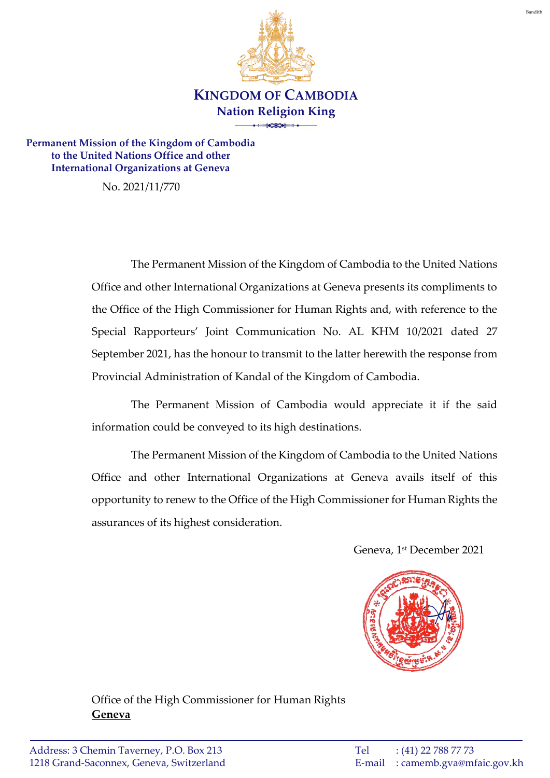

**Permanent Mission of the Kingdom of Cambodia to the United Nations Office and other International Organizations at Geneva**

No. 2021/11/770

The Permanent Mission of the Kingdom of Cambodia to the United Nations Office and other International Organizations at Geneva presents its compliments to the Office of the High Commissioner for Human Rights and, with reference to the Special Rapporteurs' Joint Communication No. AL KHM 10/2021 dated 27 September 2021, has the honour to transmit to the latter herewith the response from Provincial Administration of Kandal of the Kingdom of Cambodia.

The Permanent Mission of Cambodia would appreciate it if the said information could be conveyed to its high destinations.

The Permanent Mission of the Kingdom of Cambodia to the United Nations Office and other International Organizations at Geneva avails itself of this opportunity to renew to the Office of the High Commissioner for Human Rights the assurances of its highest consideration.

Geneva, 1 st December 2021



Office of the High Commissioner for Human Rights **Geneva**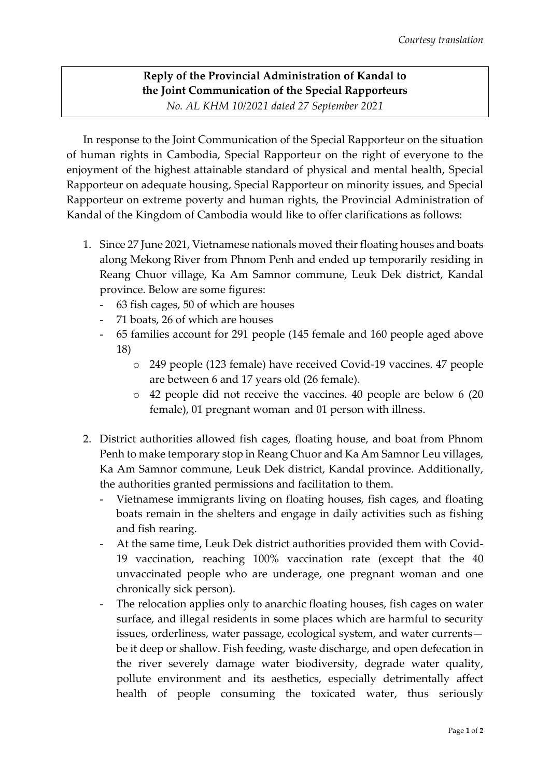## **Reply of the Provincial Administration of Kandal to the Joint Communication of the Special Rapporteurs**

*No. AL KHM 10/2021 dated 27 September 2021*

In response to the Joint Communication of the Special Rapporteur on the situation of human rights in Cambodia, Special Rapporteur on the right of everyone to the enjoyment of the highest attainable standard of physical and mental health, Special Rapporteur on adequate housing, Special Rapporteur on minority issues, and Special Rapporteur on extreme poverty and human rights, the Provincial Administration of Kandal of the Kingdom of Cambodia would like to offer clarifications as follows:

- 1. Since 27 June 2021, Vietnamese nationals moved their floating houses and boats along Mekong River from Phnom Penh and ended up temporarily residing in Reang Chuor village, Ka Am Samnor commune, Leuk Dek district, Kandal province. Below are some figures:
	- 63 fish cages, 50 of which are houses
	- 71 boats, 26 of which are houses
	- 65 families account for 291 people (145 female and 160 people aged above 18)
		- o 249 people (123 female) have received Covid-19 vaccines. 47 people are between 6 and 17 years old (26 female).
		- o 42 people did not receive the vaccines. 40 people are below 6 (20 female), 01 pregnant woman and 01 person with illness.
- 2. District authorities allowed fish cages, floating house, and boat from Phnom Penh to make temporary stop in Reang Chuor and Ka Am Samnor Leu villages, Ka Am Samnor commune, Leuk Dek district, Kandal province. Additionally, the authorities granted permissions and facilitation to them.
	- Vietnamese immigrants living on floating houses, fish cages, and floating boats remain in the shelters and engage in daily activities such as fishing and fish rearing.
	- At the same time, Leuk Dek district authorities provided them with Covid-19 vaccination, reaching 100% vaccination rate (except that the 40 unvaccinated people who are underage, one pregnant woman and one chronically sick person).
	- The relocation applies only to anarchic floating houses, fish cages on water surface, and illegal residents in some places which are harmful to security issues, orderliness, water passage, ecological system, and water currents be it deep or shallow. Fish feeding, waste discharge, and open defecation in the river severely damage water biodiversity, degrade water quality, pollute environment and its aesthetics, especially detrimentally affect health of people consuming the toxicated water, thus seriously